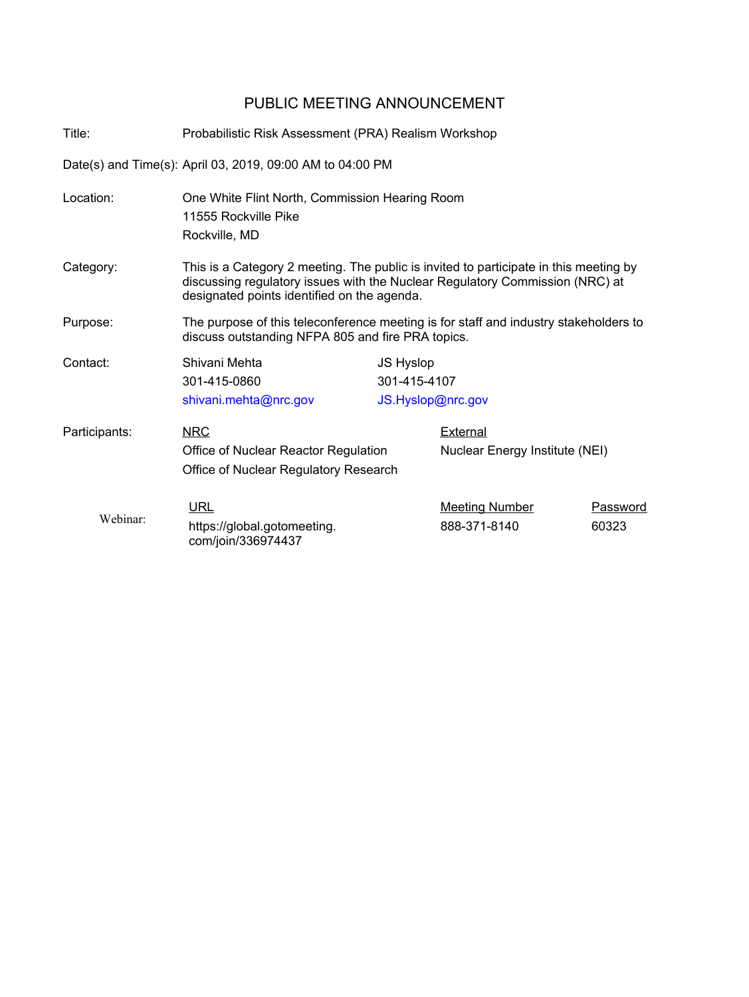## PUBLIC MEETING ANNOUNCEMENT

Title: Probabilistic Risk Assessment (PRA) Realism Workshop Date(s) and Time(s): April 03, 2019, 09:00 AM to 04:00 PM Location: One White Flint North, Commission Hearing Room 11555 Rockville Pike Rockville, MD Category: This is a Category 2 meeting. The public is invited to participate in this meeting by discussing regulatory issues with the Nuclear Regulatory Commission (NRC) at designated points identified on the agenda. Purpose: The purpose of this teleconference meeting is for staff and industry stakeholders to discuss outstanding NFPA 805 and fire PRA topics. Contact: Shivani Mehta 301-415-0860 shivani.mehta@nrc.gov JS Hyslop 301-415-4107 JS.Hyslop@nrc.gov NRC Office of Nuclear Reactor Regulation Office of Nuclear Regulatory Research Participants: NRC NRC External Nuclear Energy Institute (NEI) Webinar: URL Meeting Number Password https://global.gotomeeting. com/join/336974437 888-371-8140 60323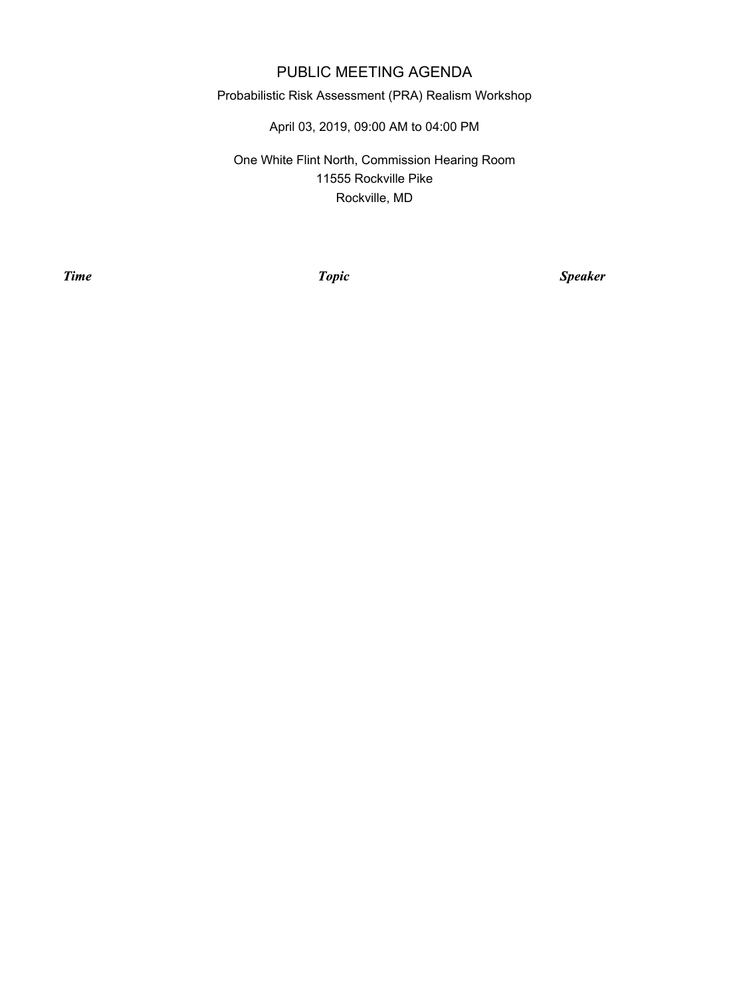## PUBLIC MEETING AGENDA

## Probabilistic Risk Assessment (PRA) Realism Workshop

April 03, 2019, 09:00 AM to 04:00 PM

One White Flint North, Commission Hearing Room 11555 Rockville Pike Rockville, MD

**Time** 

**Topic** 

**Speaker**